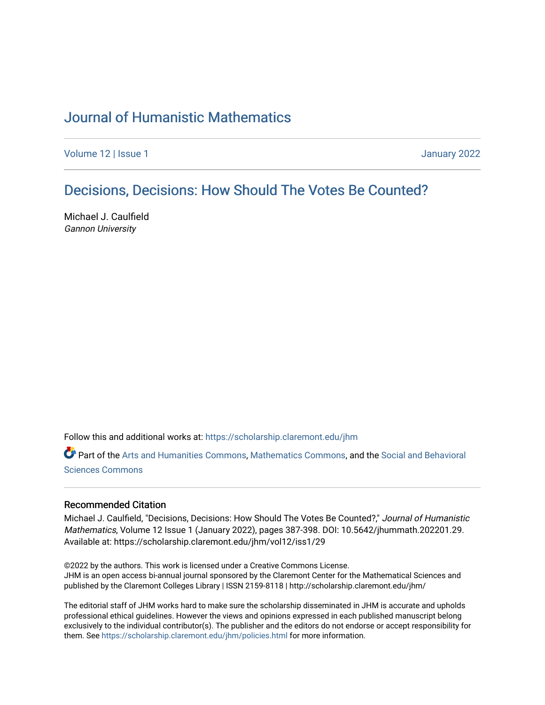# [Journal of Humanistic Mathematics](https://scholarship.claremont.edu/jhm)

[Volume 12](https://scholarship.claremont.edu/jhm/vol12) | Issue 1 January 2022

# [Decisions, Decisions: How Should The Votes Be Counted?](https://scholarship.claremont.edu/jhm/vol12/iss1/29)

Michael J. Caulfield Gannon University

Follow this and additional works at: [https://scholarship.claremont.edu/jhm](https://scholarship.claremont.edu/jhm?utm_source=scholarship.claremont.edu%2Fjhm%2Fvol12%2Fiss1%2F29&utm_medium=PDF&utm_campaign=PDFCoverPages)

Part of the [Arts and Humanities Commons,](http://network.bepress.com/hgg/discipline/438?utm_source=scholarship.claremont.edu%2Fjhm%2Fvol12%2Fiss1%2F29&utm_medium=PDF&utm_campaign=PDFCoverPages) [Mathematics Commons](http://network.bepress.com/hgg/discipline/174?utm_source=scholarship.claremont.edu%2Fjhm%2Fvol12%2Fiss1%2F29&utm_medium=PDF&utm_campaign=PDFCoverPages), and the [Social and Behavioral](http://network.bepress.com/hgg/discipline/316?utm_source=scholarship.claremont.edu%2Fjhm%2Fvol12%2Fiss1%2F29&utm_medium=PDF&utm_campaign=PDFCoverPages)  [Sciences Commons](http://network.bepress.com/hgg/discipline/316?utm_source=scholarship.claremont.edu%2Fjhm%2Fvol12%2Fiss1%2F29&utm_medium=PDF&utm_campaign=PDFCoverPages) 

#### Recommended Citation

Michael J. Caulfield, "Decisions, Decisions: How Should The Votes Be Counted?," Journal of Humanistic Mathematics, Volume 12 Issue 1 (January 2022), pages 387-398. DOI: 10.5642/jhummath.202201.29. Available at: https://scholarship.claremont.edu/jhm/vol12/iss1/29

©2022 by the authors. This work is licensed under a Creative Commons License. JHM is an open access bi-annual journal sponsored by the Claremont Center for the Mathematical Sciences and published by the Claremont Colleges Library | ISSN 2159-8118 | http://scholarship.claremont.edu/jhm/

The editorial staff of JHM works hard to make sure the scholarship disseminated in JHM is accurate and upholds professional ethical guidelines. However the views and opinions expressed in each published manuscript belong exclusively to the individual contributor(s). The publisher and the editors do not endorse or accept responsibility for them. See<https://scholarship.claremont.edu/jhm/policies.html> for more information.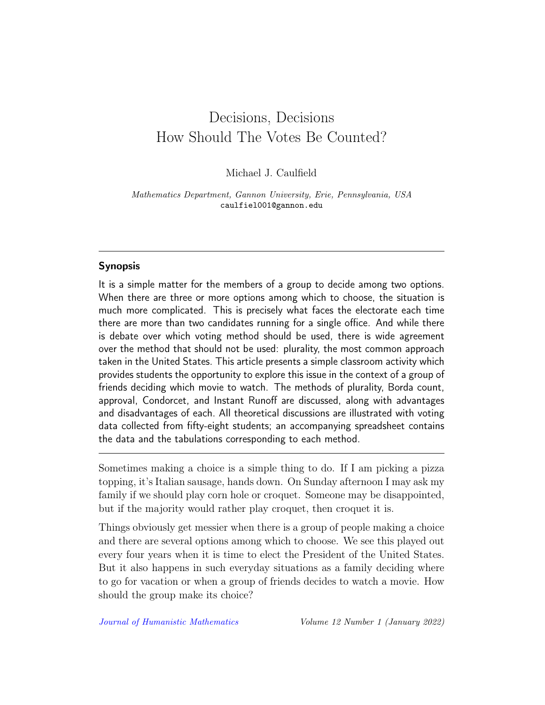# Decisions, Decisions How Should The Votes Be Counted?

Michael J. Caulfield

Mathematics Department, Gannon University, Erie, Pennsylvania, USA caulfiel001@gannon.edu

# Synopsis

It is a simple matter for the members of a group to decide among two options. When there are three or more options among which to choose, the situation is much more complicated. This is precisely what faces the electorate each time there are more than two candidates running for a single office. And while there is debate over which voting method should be used, there is wide agreement over the method that should not be used: plurality, the most common approach taken in the United States. This article presents a simple classroom activity which provides students the opportunity to explore this issue in the context of a group of friends deciding which movie to watch. The methods of plurality, Borda count, approval, Condorcet, and Instant Runoff are discussed, along with advantages and disadvantages of each. All theoretical discussions are illustrated with voting data collected from fifty-eight students; an accompanying spreadsheet contains the data and the tabulations corresponding to each method.

Sometimes making a choice is a simple thing to do. If I am picking a pizza topping, it's Italian sausage, hands down. On Sunday afternoon I may ask my family if we should play corn hole or croquet. Someone may be disappointed, but if the majority would rather play croquet, then croquet it is.

Things obviously get messier when there is a group of people making a choice and there are several options among which to choose. We see this played out every four years when it is time to elect the President of the United States. But it also happens in such everyday situations as a family deciding where to go for vacation or when a group of friends decides to watch a movie. How should the group make its choice?

[Journal of Humanistic Mathematics](http://scholarship.claremont.edu/jhm/) Volume 12 Number 1 (January 2022)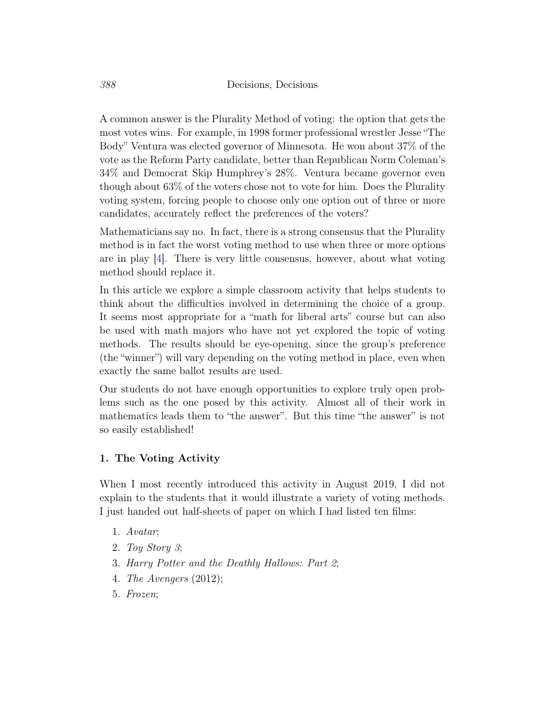A common answer is the Plurality Method of voting: the option that gets the most votes wins. For example, in 1998 former professional wrestler Jesse "The Body" Ventura was elected governor of Minnesota. He won about 37% of the vote as the Reform Party candidate, better than Republican Norm Coleman's 34% and Democrat Skip Humphrey's 28%. Ventura became governor even though about 63% of the voters chose not to vote for him. Does the Plurality voting system, forcing people to choose only one option out of three or more candidates, accurately reflect the preferences of the voters?

Mathematicians say no. In fact, there is a strong consensus that the Plurality method is in fact the worst voting method to use when three or more options are in play [\[4\]](#page-12-0). There is very little consensus, however, about what voting method should replace it.

In this article we explore a simple classroom activity that helps students to think about the difficulties involved in determining the choice of a group. It seems most appropriate for a "math for liberal arts" course but can also be used with math majors who have not yet explored the topic of voting methods. The results should be eye-opening, since the group's preference (the "winner") will vary depending on the voting method in place, even when exactly the same ballot results are used.

Our students do not have enough opportunities to explore truly open problems such as the one posed by this activity. Almost all of their work in mathematics leads them to "the answer". But this time "the answer" is not so easily established!

## 1. The Voting Activity

When I most recently introduced this activity in August 2019, I did not explain to the students that it would illustrate a variety of voting methods. I just handed out half-sheets of paper on which I had listed ten films:

- 1. Avatar;
- 2. Toy Story 3;
- 3. Harry Potter and the Deathly Hallows: Part 2;
- 4. The Avengers (2012);
- 5. Frozen;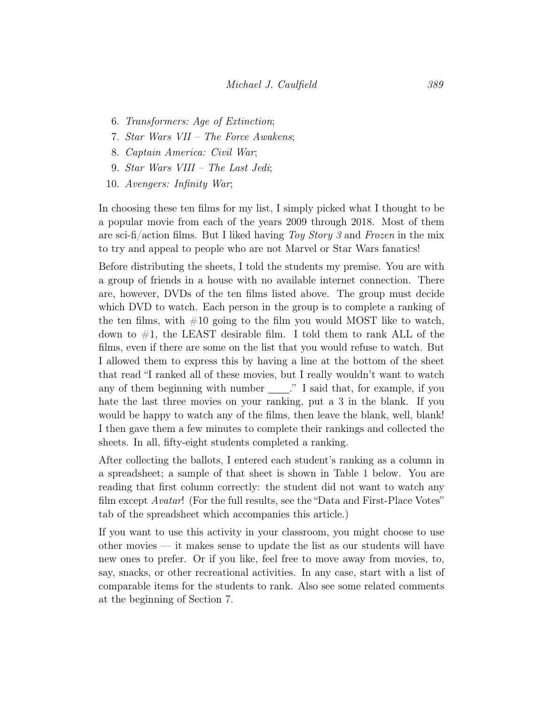- 6. Transformers: Age of Extinction;
- 7. Star Wars VII The Force Awakens;
- 8. Captain America: Civil War;
- 9. Star Wars VIII The Last Jedi;
- 10. Avengers: Infinity War;

In choosing these ten films for my list, I simply picked what I thought to be a popular movie from each of the years 2009 through 2018. Most of them are sci-fi/action films. But I liked having Toy Story 3 and Frozen in the mix to try and appeal to people who are not Marvel or Star Wars fanatics!

Before distributing the sheets, I told the students my premise. You are with a group of friends in a house with no available internet connection. There are, however, DVDs of the ten films listed above. The group must decide which DVD to watch. Each person in the group is to complete a ranking of the ten films, with  $\#10$  going to the film you would MOST like to watch, down to  $\#1$ , the LEAST desirable film. I told them to rank ALL of the films, even if there are some on the list that you would refuse to watch. But I allowed them to express this by having a line at the bottom of the sheet that read "I ranked all of these movies, but I really wouldn't want to watch any of them beginning with number  $\_\_\$ " I said that, for example, if you hate the last three movies on your ranking, put a 3 in the blank. If you would be happy to watch any of the films, then leave the blank, well, blank! I then gave them a few minutes to complete their rankings and collected the sheets. In all, fifty-eight students completed a ranking.

After collecting the ballots, I entered each student's ranking as a column in a spreadsheet; a sample of that sheet is shown in Table [1](#page-4-0) below. You are reading that first column correctly: the student did not want to watch any film except Avatar! (For the full results, see the "Data and First-Place Votes" tab of the spreadsheet which accompanies this article.)

If you want to use this activity in your classroom, you might choose to use other movies — it makes sense to update the list as our students will have new ones to prefer. Or if you like, feel free to move away from movies, to, say, snacks, or other recreational activities. In any case, start with a list of comparable items for the students to rank. Also see some related comments at the beginning of Section [7.](#page-10-0)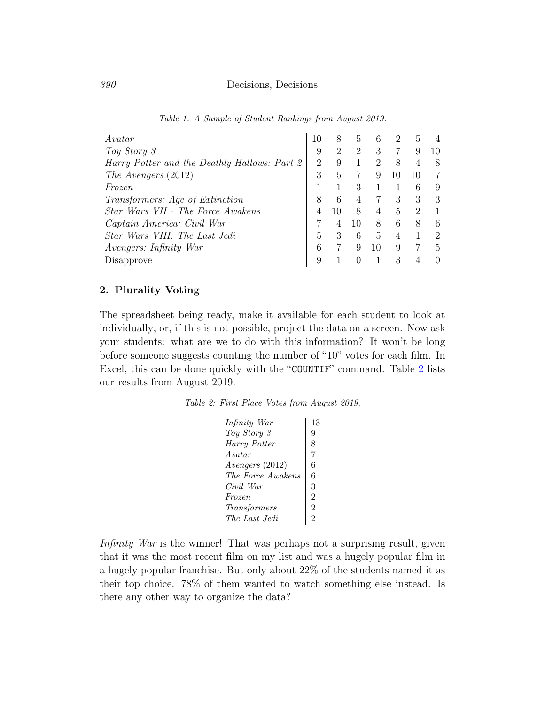<span id="page-4-0"></span>

| Avatar                                       | 10                          | 8              | 5  | 6              | 2              | 5  |   |
|----------------------------------------------|-----------------------------|----------------|----|----------------|----------------|----|---|
| Toy Story 3                                  | 9                           | $\overline{2}$ | 2  | 3              |                | 9  |   |
| Harry Potter and the Deathly Hallows: Part 2 | $\mathcal{D}_{\mathcal{L}}$ | 9              |    | 2              | 8              | 4  |   |
| The Avengers $(2012)$                        | 3                           | 5              |    | 9              | 10             | 10 |   |
| Frozen                                       |                             |                | 3  |                |                | 6  |   |
| <i>Transformers: Age of Extinction</i>       | 8                           | 6              | 4  |                | 3              | 3  |   |
| Star Wars VII - The Force Awakens            |                             | 10             | 8  | $\overline{4}$ | 5              | 2  |   |
| Captain America: Civil War                   |                             | 4              | 10 | 8              | 6              | 8  | 6 |
| Star Wars VIII: The Last Jedi                | 5                           | 3              | 6  | 5              | $\overline{4}$ |    | 9 |
| <i>Avengers: Infinity War</i>                |                             |                | 9  | 10             | 9              |    | 5 |
| Disapprove                                   |                             |                |    |                | 3              |    |   |

Table 1: A Sample of Student Rankings from August 2019.

#### 2. Plurality Voting

<span id="page-4-1"></span>The spreadsheet being ready, make it available for each student to look at individually, or, if this is not possible, project the data on a screen. Now ask your students: what are we to do with this information? It won't be long before someone suggests counting the number of "10" votes for each film. In Excel, this can be done quickly with the "COUNTIF" command. Table [2](#page-4-1) lists our results from August 2019.

Table 2: First Place Votes from August 2019.

| Infinity War      | 13             |
|-------------------|----------------|
| Toy Story 3       | 9              |
| Harry Potter      | 8              |
| Avatar            | 7              |
| Avengers (2012)   | 6              |
| The Force Awakens | 6              |
| Civil War         | 3              |
| Frozen            | $\overline{2}$ |
| Transformers      | 2              |
| The Last Jedi     | 2              |
|                   |                |

Infinity War is the winner! That was perhaps not a surprising result, given that it was the most recent film on my list and was a hugely popular film in a hugely popular franchise. But only about 22% of the students named it as their top choice. 78% of them wanted to watch something else instead. Is there any other way to organize the data?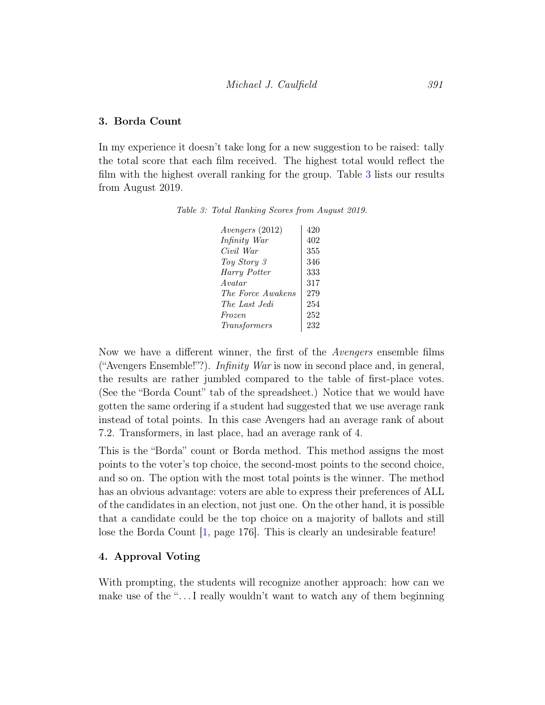#### 3. Borda Count

<span id="page-5-0"></span>In my experience it doesn't take long for a new suggestion to be raised: tally the total score that each film received. The highest total would reflect the film with the highest overall ranking for the group. Table [3](#page-5-0) lists our results from August 2019.

|  | Table 3: Total Ranking Scores from August 2019. |  |  |
|--|-------------------------------------------------|--|--|
|  |                                                 |  |  |

| $A$ vengers (2012) | 420 |
|--------------------|-----|
| Infinity War       | 402 |
| Civil War          | 355 |
| Toy Story 3        | 346 |
| Harry Potter       | 333 |
| Avatar             | 317 |
| The Force Awakens  | 279 |
| The Last Jedi      | 254 |
| <i>Frozen</i>      | 252 |
| Transformers       | 232 |
|                    |     |

Now we have a different winner, the first of the Avengers ensemble films ("Avengers Ensemble!"?). Infinity War is now in second place and, in general, the results are rather jumbled compared to the table of first-place votes. (See the "Borda Count" tab of the spreadsheet.) Notice that we would have gotten the same ordering if a student had suggested that we use average rank instead of total points. In this case Avengers had an average rank of about 7.2. Transformers, in last place, had an average rank of 4.

This is the "Borda" count or Borda method. This method assigns the most points to the voter's top choice, the second-most points to the second choice, and so on. The option with the most total points is the winner. The method has an obvious advantage: voters are able to express their preferences of ALL of the candidates in an election, not just one. On the other hand, it is possible that a candidate could be the top choice on a majority of ballots and still lose the Borda Count  $\vert 1$ , page 176. This is clearly an undesirable feature!

### 4. Approval Voting

With prompting, the students will recognize another approach: how can we make use of the " $\dots$ . I really wouldn't want to watch any of them beginning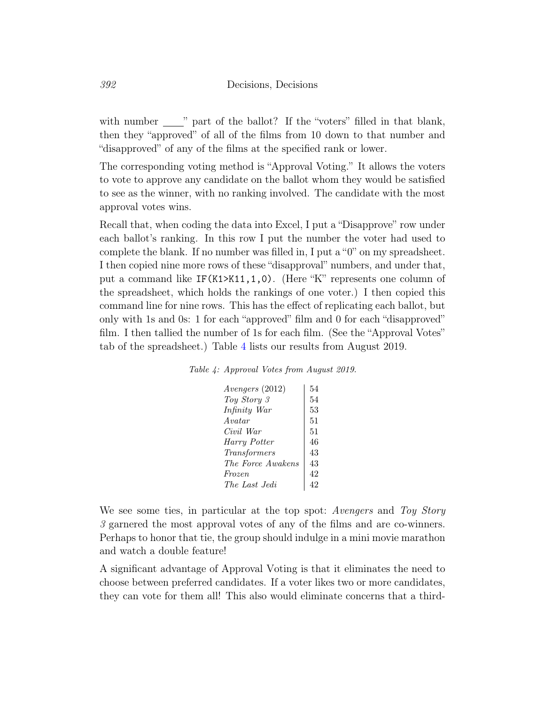with number  $\frac{1}{\sqrt{2}}$  part of the ballot? If the "voters" filled in that blank, then they "approved" of all of the films from 10 down to that number and "disapproved" of any of the films at the specified rank or lower.

The corresponding voting method is "Approval Voting." It allows the voters to vote to approve any candidate on the ballot whom they would be satisfied to see as the winner, with no ranking involved. The candidate with the most approval votes wins.

Recall that, when coding the data into Excel, I put a "Disapprove" row under each ballot's ranking. In this row I put the number the voter had used to complete the blank. If no number was filled in, I put a "0" on my spreadsheet. I then copied nine more rows of these "disapproval" numbers, and under that, put a command like IF(K1>K11,1,0). (Here "K" represents one column of the spreadsheet, which holds the rankings of one voter.) I then copied this command line for nine rows. This has the effect of replicating each ballot, but only with 1s and 0s: 1 for each "approved" film and 0 for each "disapproved" film. I then tallied the number of 1s for each film. (See the "Approval Votes" tab of the spreadsheet.) Table [4](#page-6-0) lists our results from August 2019.

<span id="page-6-0"></span>

|  |  | Table 4: Approval Votes from August 2019. |  |  |
|--|--|-------------------------------------------|--|--|
|--|--|-------------------------------------------|--|--|

| Avengers (2012)   | 54 |
|-------------------|----|
| Toy Story 3       | 54 |
| Infinity War      | 53 |
| Avatar            | 51 |
| Civil War         | 51 |
| Harry Potter      | 46 |
| Transformers      | 43 |
| The Force Awakens | 43 |
| <i>Frozen</i>     | 42 |
| The Last Jedi     |    |

We see some ties, in particular at the top spot: Avengers and Toy Story 3 garnered the most approval votes of any of the films and are co-winners. Perhaps to honor that tie, the group should indulge in a mini movie marathon and watch a double feature!

A significant advantage of Approval Voting is that it eliminates the need to choose between preferred candidates. If a voter likes two or more candidates, they can vote for them all! This also would eliminate concerns that a third-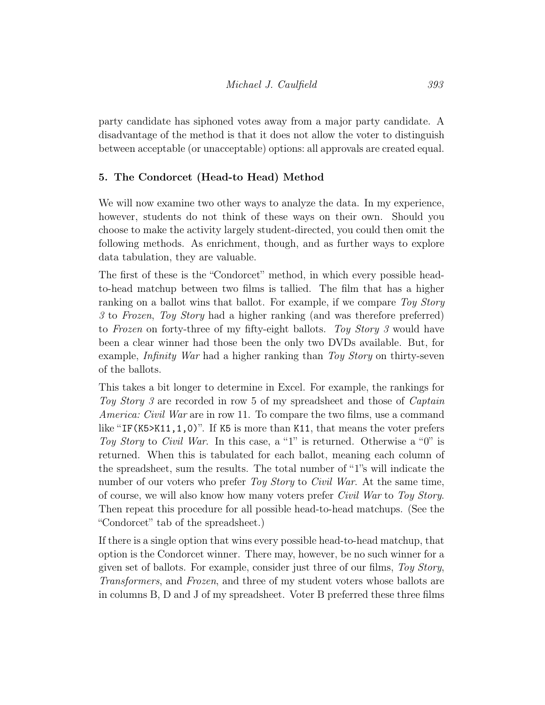party candidate has siphoned votes away from a major party candidate. A disadvantage of the method is that it does not allow the voter to distinguish between acceptable (or unacceptable) options: all approvals are created equal.

# 5. The Condorcet (Head-to Head) Method

We will now examine two other ways to analyze the data. In my experience, however, students do not think of these ways on their own. Should you choose to make the activity largely student-directed, you could then omit the following methods. As enrichment, though, and as further ways to explore data tabulation, they are valuable.

The first of these is the "Condorcet" method, in which every possible headto-head matchup between two films is tallied. The film that has a higher ranking on a ballot wins that ballot. For example, if we compare Toy Story 3 to Frozen, Toy Story had a higher ranking (and was therefore preferred) to Frozen on forty-three of my fifty-eight ballots. Toy Story 3 would have been a clear winner had those been the only two DVDs available. But, for example, Infinity War had a higher ranking than Toy Story on thirty-seven of the ballots.

This takes a bit longer to determine in Excel. For example, the rankings for Toy Story 3 are recorded in row 5 of my spreadsheet and those of *Captain* America: Civil War are in row 11. To compare the two films, use a command like "IF(K5>K11,1,0)". If K5 is more than K11, that means the voter prefers Toy Story to Civil War. In this case, a "1" is returned. Otherwise a "0" is returned. When this is tabulated for each ballot, meaning each column of the spreadsheet, sum the results. The total number of "1"s will indicate the number of our voters who prefer Toy Story to Civil War. At the same time, of course, we will also know how many voters prefer Civil War to Toy Story. Then repeat this procedure for all possible head-to-head matchups. (See the "Condorcet" tab of the spreadsheet.)

If there is a single option that wins every possible head-to-head matchup, that option is the Condorcet winner. There may, however, be no such winner for a given set of ballots. For example, consider just three of our films, Toy Story, Transformers, and Frozen, and three of my student voters whose ballots are in columns B, D and J of my spreadsheet. Voter B preferred these three films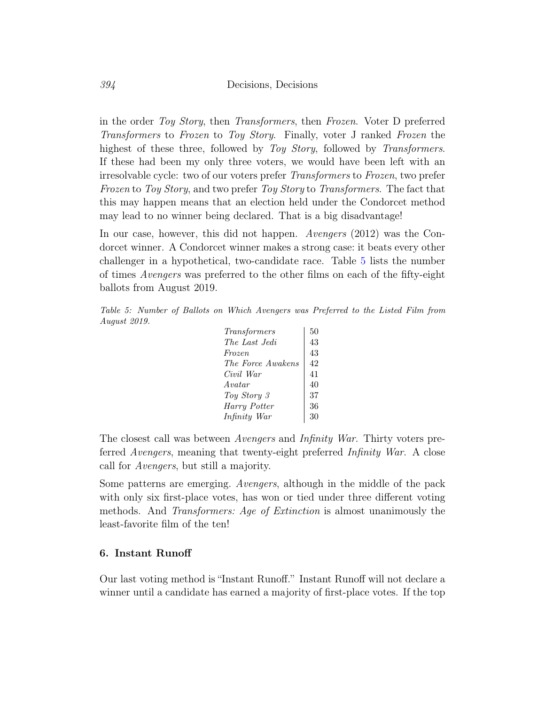in the order Toy Story, then Transformers, then Frozen. Voter D preferred Transformers to Frozen to Toy Story. Finally, voter J ranked Frozen the highest of these three, followed by Toy Story, followed by Transformers. If these had been my only three voters, we would have been left with an irresolvable cycle: two of our voters prefer Transformers to Frozen, two prefer Frozen to Toy Story, and two prefer Toy Story to Transformers. The fact that this may happen means that an election held under the Condorcet method may lead to no winner being declared. That is a big disadvantage!

In our case, however, this did not happen. Avengers (2012) was the Condorcet winner. A Condorcet winner makes a strong case: it beats every other challenger in a hypothetical, two-candidate race. Table [5](#page-8-0) lists the number of times Avengers was preferred to the other films on each of the fifty-eight ballots from August 2019.

<span id="page-8-0"></span>Table 5: Number of Ballots on Which Avengers was Preferred to the Listed Film from August 2019.

| Transformers      | 50 |
|-------------------|----|
| The Last Jedi     | 43 |
| Frozen            | 43 |
| The Force Awakens | 42 |
| Civil War         | 41 |
| Avatar            | 40 |
| Toy Story 3       | 37 |
| Harry Potter      | 36 |
| Infinity War      | 30 |
|                   |    |

The closest call was between Avengers and Infinity War. Thirty voters preferred Avengers, meaning that twenty-eight preferred Infinity War. A close call for Avengers, but still a majority.

Some patterns are emerging. Avengers, although in the middle of the pack with only six first-place votes, has won or tied under three different voting methods. And *Transformers: Age of Extinction* is almost unanimously the least-favorite film of the ten!

#### 6. Instant Runoff

Our last voting method is "Instant Runoff." Instant Runoff will not declare a winner until a candidate has earned a majority of first-place votes. If the top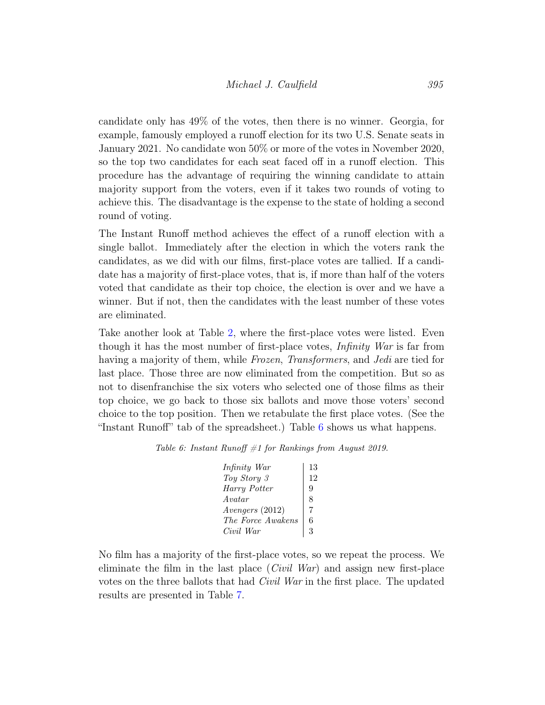candidate only has 49% of the votes, then there is no winner. Georgia, for example, famously employed a runoff election for its two U.S. Senate seats in January 2021. No candidate won 50% or more of the votes in November 2020, so the top two candidates for each seat faced off in a runoff election. This procedure has the advantage of requiring the winning candidate to attain majority support from the voters, even if it takes two rounds of voting to achieve this. The disadvantage is the expense to the state of holding a second round of voting.

The Instant Runoff method achieves the effect of a runoff election with a single ballot. Immediately after the election in which the voters rank the candidates, as we did with our films, first-place votes are tallied. If a candidate has a majority of first-place votes, that is, if more than half of the voters voted that candidate as their top choice, the election is over and we have a winner. But if not, then the candidates with the least number of these votes are eliminated.

Take another look at Table [2,](#page-4-1) where the first-place votes were listed. Even though it has the most number of first-place votes, Infinity War is far from having a majority of them, while *Frozen, Transformers*, and *Jedi* are tied for last place. Those three are now eliminated from the competition. But so as not to disenfranchise the six voters who selected one of those films as their top choice, we go back to those six ballots and move those voters' second choice to the top position. Then we retabulate the first place votes. (See the "Instant Runoff" tab of the spreadsheet.) Table [6](#page-9-0) shows us what happens.

<span id="page-9-0"></span>Table 6: Instant Runoff  $#1$  for Rankings from August 2019.

| Infinity War       | 13 |
|--------------------|----|
| Toy Story 3        | 12 |
| Harry Potter       | 9  |
| $A$ vatar          | 8  |
| $A$ vengers (2012) |    |
| The Force Awakens  | 6  |
| Civil War          | ર  |

No film has a majority of the first-place votes, so we repeat the process. We eliminate the film in the last place  $(Civil War)$  and assign new first-place votes on the three ballots that had Civil War in the first place. The updated results are presented in Table [7.](#page-10-1)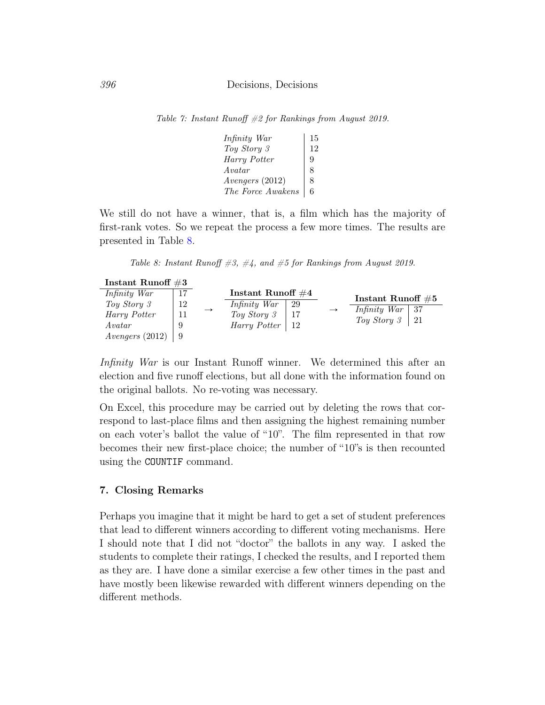<span id="page-10-1"></span>Table 7: Instant Runoff #2 for Rankings from August 2019.

| Infinity War      | 15 |
|-------------------|----|
| Toy Story 3       |    |
| Harry Potter      | 9  |
| Avatar            | 8  |
| Avengers (2012)   | 8  |
| The Force Awakens |    |
|                   |    |

We still do not have a winner, that is, a film which has the majority of first-rank votes. So we repeat the process a few more times. The results are presented in Table [8.](#page-10-2)

Table 8: Instant Runoff  $\#3, \#4,$  and  $\#5$  for Rankings from August 2019.

<span id="page-10-2"></span>

| Instant Runoff $\#3$ |     |               |                      |     |                       |      |
|----------------------|-----|---------------|----------------------|-----|-----------------------|------|
| Infinity War         | -17 |               | Instant Runoff $\#4$ |     | Instant Runoff $\#5$  |      |
| Toy Story 3          | 12  | $\rightarrow$ | Infinity War         | -29 | Infinity War          | - 37 |
| Harry Potter         |     |               | Toy Story 3          |     | Toy Story $3 \mid 21$ |      |
| A vatar              |     |               | Harry Potter   12    |     |                       |      |
| $A \ntengers (2012)$ |     |               |                      |     |                       |      |

Infinity War is our Instant Runoff winner. We determined this after an election and five runoff elections, but all done with the information found on the original ballots. No re-voting was necessary.

On Excel, this procedure may be carried out by deleting the rows that correspond to last-place films and then assigning the highest remaining number on each voter's ballot the value of "10". The film represented in that row becomes their new first-place choice; the number of "10"s is then recounted using the COUNTIF command.

#### <span id="page-10-0"></span>7. Closing Remarks

Perhaps you imagine that it might be hard to get a set of student preferences that lead to different winners according to different voting mechanisms. Here I should note that I did not "doctor" the ballots in any way. I asked the students to complete their ratings, I checked the results, and I reported them as they are. I have done a similar exercise a few other times in the past and have mostly been likewise rewarded with different winners depending on the different methods.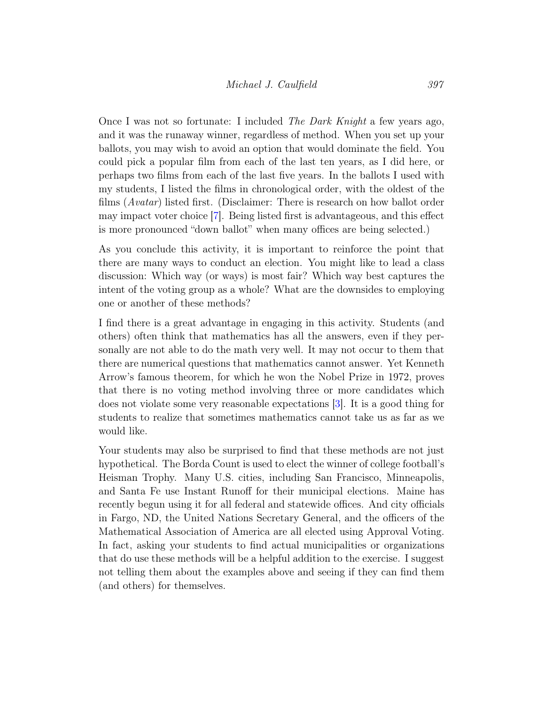Once I was not so fortunate: I included The Dark Knight a few years ago, and it was the runaway winner, regardless of method. When you set up your ballots, you may wish to avoid an option that would dominate the field. You could pick a popular film from each of the last ten years, as I did here, or perhaps two films from each of the last five years. In the ballots I used with my students, I listed the films in chronological order, with the oldest of the films (Avatar) listed first. (Disclaimer: There is research on how ballot order may impact voter choice [\[7\]](#page-12-2). Being listed first is advantageous, and this effect is more pronounced "down ballot" when many offices are being selected.)

As you conclude this activity, it is important to reinforce the point that there are many ways to conduct an election. You might like to lead a class discussion: Which way (or ways) is most fair? Which way best captures the intent of the voting group as a whole? What are the downsides to employing one or another of these methods?

I find there is a great advantage in engaging in this activity. Students (and others) often think that mathematics has all the answers, even if they personally are not able to do the math very well. It may not occur to them that there are numerical questions that mathematics cannot answer. Yet Kenneth Arrow's famous theorem, for which he won the Nobel Prize in 1972, proves that there is no voting method involving three or more candidates which does not violate some very reasonable expectations [\[3\]](#page-12-3). It is a good thing for students to realize that sometimes mathematics cannot take us as far as we would like.

Your students may also be surprised to find that these methods are not just hypothetical. The Borda Count is used to elect the winner of college football's Heisman Trophy. Many U.S. cities, including San Francisco, Minneapolis, and Santa Fe use Instant Runoff for their municipal elections. Maine has recently begun using it for all federal and statewide offices. And city officials in Fargo, ND, the United Nations Secretary General, and the officers of the Mathematical Association of America are all elected using Approval Voting. In fact, asking your students to find actual municipalities or organizations that do use these methods will be a helpful addition to the exercise. I suggest not telling them about the examples above and seeing if they can find them (and others) for themselves.